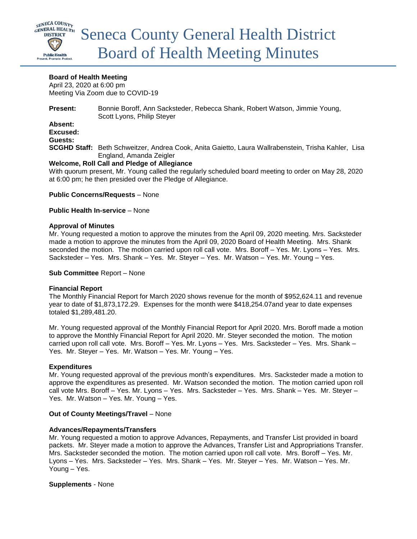

# **Board of Health Meeting**

April 23, 2020 at 6:00 pm Meeting Via Zoom due to COVID-19

**Present:** Bonnie Boroff, Ann Sacksteder, Rebecca Shank, Robert Watson, Jimmie Young, Scott Lyons, Philip Steyer

**Absent: Excused: Guests:**

**SCGHD Staff:** Beth Schweitzer, Andrea Cook, Anita Gaietto, Laura Wallrabenstein, Trisha Kahler, Lisa England, Amanda Zeigler

### **Welcome, Roll Call and Pledge of Allegiance**

With quorum present, Mr. Young called the regularly scheduled board meeting to order on May 28, 2020 at 6:00 pm; he then presided over the Pledge of Allegiance.

### **Public Concerns/Requests** – None

#### **Public Health In-service** – None

### **Approval of Minutes**

Mr. Young requested a motion to approve the minutes from the April 09, 2020 meeting. Mrs. Sacksteder made a motion to approve the minutes from the April 09, 2020 Board of Health Meeting. Mrs. Shank seconded the motion. The motion carried upon roll call vote. Mrs. Boroff – Yes. Mr. Lyons – Yes. Mrs. Sacksteder – Yes. Mrs. Shank – Yes. Mr. Steyer – Yes. Mr. Watson – Yes. Mr. Young – Yes.

#### **Sub Committee** Report – None

# **Financial Report**

The Monthly Financial Report for March 2020 shows revenue for the month of \$952,624.11 and revenue year to date of \$1,873,172.29. Expenses for the month were \$418,254.07and year to date expenses totaled \$1,289,481.20.

Mr. Young requested approval of the Monthly Financial Report for April 2020. Mrs. Boroff made a motion to approve the Monthly Financial Report for April 2020. Mr. Steyer seconded the motion. The motion carried upon roll call vote. Mrs. Boroff – Yes. Mr. Lyons – Yes. Mrs. Sacksteder – Yes. Mrs. Shank – Yes. Mr. Steyer – Yes. Mr. Watson – Yes. Mr. Young – Yes.

# **Expenditures**

Mr. Young requested approval of the previous month's expenditures. Mrs. Sacksteder made a motion to approve the expenditures as presented. Mr. Watson seconded the motion. The motion carried upon roll call vote Mrs. Boroff – Yes. Mr. Lyons – Yes. Mrs. Sacksteder – Yes. Mrs. Shank – Yes. Mr. Steyer – Yes. Mr. Watson – Yes. Mr. Young – Yes.

# **Out of County Meetings/Travel** – None

# **Advances/Repayments/Transfers**

Mr. Young requested a motion to approve Advances, Repayments, and Transfer List provided in board packets. Mr. Steyer made a motion to approve the Advances, Transfer List and Appropriations Transfer. Mrs. Sacksteder seconded the motion. The motion carried upon roll call vote. Mrs. Boroff – Yes. Mr. Lyons – Yes. Mrs. Sacksteder – Yes. Mrs. Shank – Yes. Mr. Steyer – Yes. Mr. Watson – Yes. Mr. Young – Yes.

# **Supplements** - None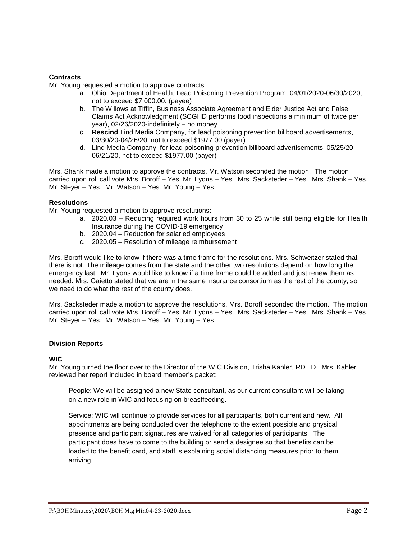# **Contracts**

Mr. Young requested a motion to approve contracts:

- a. Ohio Department of Health, Lead Poisoning Prevention Program, 04/01/2020-06/30/2020, not to exceed \$7,000.00. (payee)
- b. The Willows at Tiffin, Business Associate Agreement and Elder Justice Act and False Claims Act Acknowledgment (SCGHD performs food inspections a minimum of twice per year), 02/26/2020-indefinitely – no money
- c. **Rescind** Lind Media Company, for lead poisoning prevention billboard advertisements, 03/30/20-04/26/20, not to exceed \$1977.00 (payer)
- d. Lind Media Company, for lead poisoning prevention billboard advertisements, 05/25/20- 06/21/20, not to exceed \$1977.00 (payer)

Mrs. Shank made a motion to approve the contracts. Mr. Watson seconded the motion. The motion carried upon roll call vote Mrs. Boroff – Yes. Mr. Lyons – Yes. Mrs. Sacksteder – Yes. Mrs. Shank – Yes. Mr. Steyer – Yes. Mr. Watson – Yes. Mr. Young – Yes.

# **Resolutions**

Mr. Young requested a motion to approve resolutions:

- a. 2020.03 Reducing required work hours from 30 to 25 while still being eligible for Health Insurance during the COVID-19 emergency
- b. 2020.04 Reduction for salaried employees
- c. 2020.05 Resolution of mileage reimbursement

Mrs. Boroff would like to know if there was a time frame for the resolutions. Mrs. Schweitzer stated that there is not. The mileage comes from the state and the other two resolutions depend on how long the emergency last. Mr. Lyons would like to know if a time frame could be added and just renew them as needed. Mrs. Gaietto stated that we are in the same insurance consortium as the rest of the county, so we need to do what the rest of the county does.

Mrs. Sacksteder made a motion to approve the resolutions. Mrs. Boroff seconded the motion. The motion carried upon roll call vote Mrs. Boroff – Yes. Mr. Lyons – Yes. Mrs. Sacksteder – Yes. Mrs. Shank – Yes. Mr. Steyer – Yes. Mr. Watson – Yes. Mr. Young – Yes.

# **Division Reports**

# **WIC**

Mr. Young turned the floor over to the Director of the WIC Division, Trisha Kahler, RD LD. Mrs. Kahler reviewed her report included in board member's packet:

People: We will be assigned a new State consultant, as our current consultant will be taking on a new role in WIC and focusing on breastfeeding.

Service: WIC will continue to provide services for all participants, both current and new. All appointments are being conducted over the telephone to the extent possible and physical presence and participant signatures are waived for all categories of participants. The participant does have to come to the building or send a designee so that benefits can be loaded to the benefit card, and staff is explaining social distancing measures prior to them arriving.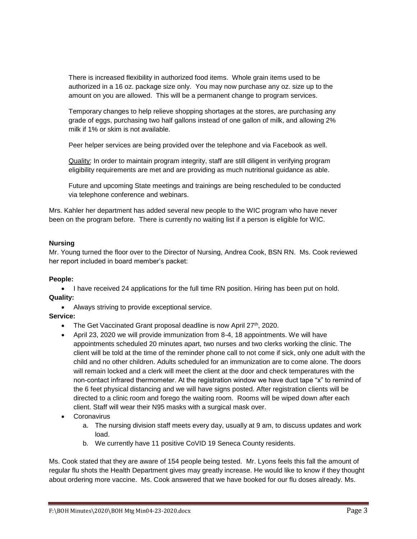There is increased flexibility in authorized food items. Whole grain items used to be authorized in a 16 oz. package size only. You may now purchase any oz. size up to the amount on you are allowed. This will be a permanent change to program services.

Temporary changes to help relieve shopping shortages at the stores, are purchasing any grade of eggs, purchasing two half gallons instead of one gallon of milk, and allowing 2% milk if 1% or skim is not available.

Peer helper services are being provided over the telephone and via Facebook as well.

Quality: In order to maintain program integrity, staff are still diligent in verifying program eligibility requirements are met and are providing as much nutritional guidance as able.

Future and upcoming State meetings and trainings are being rescheduled to be conducted via telephone conference and webinars.

Mrs. Kahler her department has added several new people to the WIC program who have never been on the program before. There is currently no waiting list if a person is eligible for WIC.

# **Nursing**

Mr. Young turned the floor over to the Director of Nursing, Andrea Cook, BSN RN. Ms. Cook reviewed her report included in board member's packet:

# **People:**

• I have received 24 applications for the full time RN position. Hiring has been put on hold. **Quality:** 

Always striving to provide exceptional service.

# **Service:**

- The Get Vaccinated Grant proposal deadline is now April 27<sup>th</sup>, 2020.
- April 23, 2020 we will provide immunization from 8-4, 18 appointments. We will have appointments scheduled 20 minutes apart, two nurses and two clerks working the clinic. The client will be told at the time of the reminder phone call to not come if sick, only one adult with the child and no other children. Adults scheduled for an immunization are to come alone. The doors will remain locked and a clerk will meet the client at the door and check temperatures with the non-contact infrared thermometer. At the registration window we have duct tape "x" to remind of the 6 feet physical distancing and we will have signs posted. After registration clients will be directed to a clinic room and forego the waiting room. Rooms will be wiped down after each client. Staff will wear their N95 masks with a surgical mask over.
- Coronavirus
	- a. The nursing division staff meets every day, usually at 9 am, to discuss updates and work load.
	- b. We currently have 11 positive CoVID 19 Seneca County residents.

Ms. Cook stated that they are aware of 154 people being tested. Mr. Lyons feels this fall the amount of regular flu shots the Health Department gives may greatly increase. He would like to know if they thought about ordering more vaccine. Ms. Cook answered that we have booked for our flu doses already. Ms.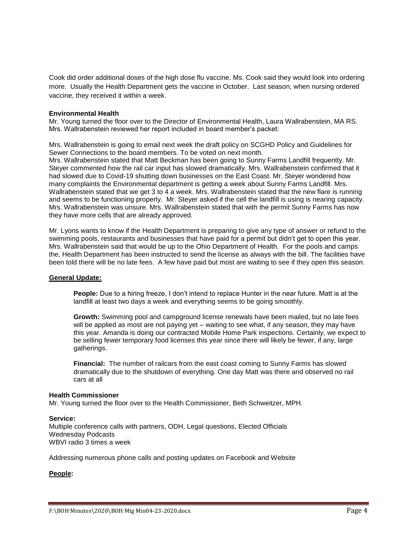Cook did order additional doses of the high dose flu vaccine. Ms. Cook said they would look into ordering more. Usually the Health Department gets the vaccine in October. Last season, when nursing ordered vaccine, they received it within a week.

### **Environmental Health**

Mr. Young turned the floor over to the Director of Environmental Health, Laura Wallrabenstein, MA RS. Mrs. Wallrabenstein reviewed her report included in board member's packet:

Mrs. Wallrabenstein is going to email next week the draft policy on SCGHD Policy and Guidelines for Sewer Connections to the board members. To be voted on next month.

Mrs. Wallrabenstein stated that Matt Beckman has been going to Sunny Farms Landfill frequently. Mr. Steyer commented how the rail car input has slowed dramatically. Mrs. Wallrabenstein confirmed that it had slowed due to Covid-19 shutting down businesses on the East Coast. Mr. Steyer wondered how many complaints the Environmental department is getting a week about Sunny Farms Landfill. Mrs. Wallrabenstein stated that we get 3 to 4 a week. Mrs. Wallrabenstein stated that the new flare is running and seems to be functioning properly. Mr. Steyer asked if the cell the landfill is using is nearing capacity. Mrs. Wallrabenstein was unsure. Mrs. Wallrabenstein stated that with the permit Sunny Farms has now they have more cells that are already approved.

Mr. Lyons wants to know if the Health Department is preparing to give any type of answer or refund to the swimming pools, restaurants and businesses that have paid for a permit but didn't get to open this year. Mrs. Wallrabenstein said that would be up to the Ohio Department of Health. For the pools and camps the, Health Department has been instructed to send the license as always with the bill. The facilities have been told there will be no late fees. A few have paid but most are waiting to see if they open this season.

#### **General Update:**

**People:** Due to a hiring freeze, I don't intend to replace Hunter in the near future. Matt is at the landfill at least two days a week and everything seems to be going smoothly.

**Growth:** Swimming pool and campground license renewals have been mailed, but no late fees will be applied as most are not paying yet – waiting to see what, if any season, they may have this year. Amanda is doing our contracted Mobile Home Park inspections. Certainly, we expect to be selling fewer temporary food licenses this year since there will likely be fewer, if any, large gatherings.

**Financial:** The number of railcars from the east coast coming to Sunny Farms has slowed dramatically due to the shutdown of everything. One day Matt was there and observed no rail cars at all

#### **Health Commissioner**

Mr. Young turned the floor over to the Health Commissioner, Beth Schweitzer, MPH.

#### **Service:**

Multiple conference calls with partners, ODH, Legal questions, Elected Officials Wednesday Podcasts WBVI radio 3 times a week

Addressing numerous phone calls and posting updates on Facebook and Website

# **People:**